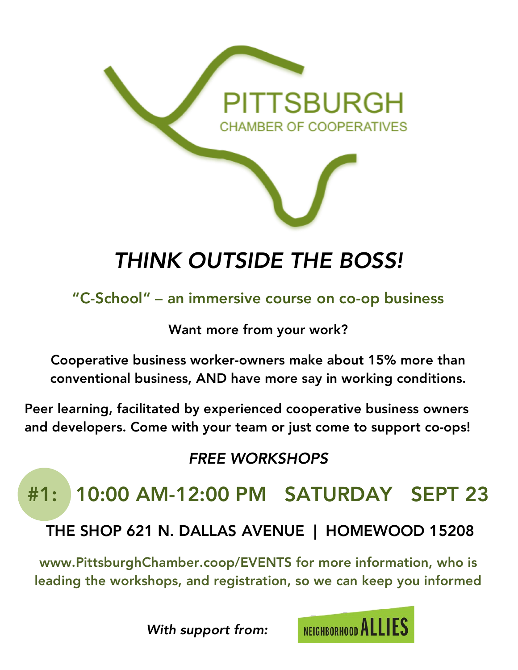

# *THINK OUTSIDE THE BOSS!*

"C-School" – an immersive course on co-op business

Want more from your work?

Cooperative business worker-owners make about 15% more than conventional business, AND have more say in working conditions.

Peer learning, facilitated by experienced cooperative business owners and developers. Come with your team or just come to support co-ops!

### *FREE WORKSHOPS*

## #1: 10:00 AM-12:00 PM SATURDAY SEPT 23

THE SHOP 621 N. DALLAS AVENUE | HOMEWOOD 15208

www.PittsburghChamber.coop/EVENTS for more information, who is leading the workshops, and registration, so we can keep you informed

*With support from:*